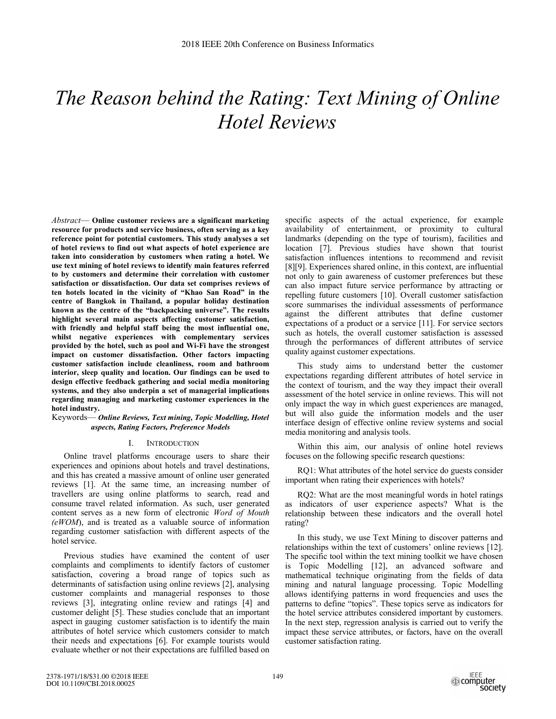# *The Reason behind the Rating: Text Mining of Online Hotel Reviews*

*Abstract*— **Online customer reviews are a significant marketing resource for products and service business, often serving as a key reference point for potential customers. This study analyses a set of hotel reviews to find out what aspects of hotel experience are taken into consideration by customers when rating a hotel. We use text mining of hotel reviews to identify main features referred to by customers and determine their correlation with customer satisfaction or dissatisfaction. Our data set comprises reviews of ten hotels located in the vicinity of "Khao San Road" in the centre of Bangkok in Thailand, a popular holiday destination known as the centre of the "backpacking universe". The results highlight several main aspects affecting customer satisfaction, with friendly and helpful staff being the most influential one, whilst negative experiences with complementary services provided by the hotel, such as pool and Wi-Fi have the strongest impact on customer dissatisfaction. Other factors impacting customer satisfaction include cleanliness, room and bathroom interior, sleep quality and location. Our findings can be used to design effective feedback gathering and social media monitoring systems, and they also underpin a set of managerial implications regarding managing and marketing customer experiences in the hotel industry.** 

## Keywords— *Online Reviews, Text mining, Topic Modelling, Hotel aspects, Rating Factors, Preference Models*

#### I. INTRODUCTION

Online travel platforms encourage users to share their experiences and opinions about hotels and travel destinations, and this has created a massive amount of online user generated reviews [1]. At the same time, an increasing number of travellers are using online platforms to search, read and consume travel related information. As such, user generated content serves as a new form of electronic *Word of Mouth (eWOM*), and is treated as a valuable source of information regarding customer satisfaction with different aspects of the hotel service.

Previous studies have examined the content of user complaints and compliments to identify factors of customer satisfaction, covering a broad range of topics such as determinants of satisfaction using online reviews [2], analysing customer complaints and managerial responses to those reviews [3], integrating online review and ratings [4] and customer delight [5]. These studies conclude that an important aspect in gauging customer satisfaction is to identify the main attributes of hotel service which customers consider to match their needs and expectations [6]. For example tourists would evaluate whether or not their expectations are fulfilled based on

specific aspects of the actual experience, for example availability of entertainment, or proximity to cultural landmarks (depending on the type of tourism), facilities and location [7]. Previous studies have shown that tourist satisfaction influences intentions to recommend and revisit [8][9]. Experiences shared online, in this context, are influential not only to gain awareness of customer preferences but these can also impact future service performance by attracting or repelling future customers [10]. Overall customer satisfaction score summarises the individual assessments of performance against the different attributes that define customer expectations of a product or a service [11]. For service sectors such as hotels, the overall customer satisfaction is assessed through the performances of different attributes of service quality against customer expectations.

This study aims to understand better the customer expectations regarding different attributes of hotel service in the context of tourism, and the way they impact their overall assessment of the hotel service in online reviews. This will not only impact the way in which guest experiences are managed, but will also guide the information models and the user interface design of effective online review systems and social media monitoring and analysis tools.

Within this aim, our analysis of online hotel reviews focuses on the following specific research questions:

RQ1: What attributes of the hotel service do guests consider important when rating their experiences with hotels?

RQ2: What are the most meaningful words in hotel ratings as indicators of user experience aspects? What is the relationship between these indicators and the overall hotel rating?

In this study, we use Text Mining to discover patterns and relationships within the text of customers' online reviews [12]. The specific tool within the text mining toolkit we have chosen is Topic Modelling [12], an advanced software and mathematical technique originating from the fields of data mining and natural language processing. Topic Modelling allows identifying patterns in word frequencies and uses the patterns to define "topics". These topics serve as indicators for the hotel service attributes considered important by customers. In the next step, regression analysis is carried out to verify the impact these service attributes, or factors, have on the overall customer satisfaction rating.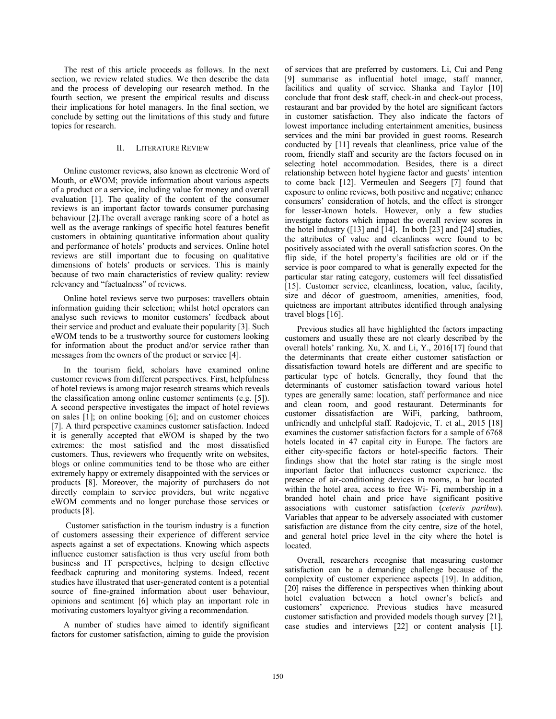The rest of this article proceeds as follows. In the next section, we review related studies. We then describe the data and the process of developing our research method. In the fourth section, we present the empirical results and discuss their implications for hotel managers. In the final section, we conclude by setting out the limitations of this study and future topics for research.

## II. LITERATURE REVIEW

Online customer reviews, also known as electronic Word of Mouth, or eWOM; provide information about various aspects of a product or a service, including value for money and overall evaluation [1]. The quality of the content of the consumer reviews is an important factor towards consumer purchasing behaviour [2].The overall average ranking score of a hotel as well as the average rankings of specific hotel features benefit customers in obtaining quantitative information about quality and performance of hotels' products and services. Online hotel reviews are still important due to focusing on qualitative dimensions of hotels' products or services. This is mainly because of two main characteristics of review quality: review relevancy and "factualness" of reviews.

Online hotel reviews serve two purposes: travellers obtain information guiding their selection; whilst hotel operators can analyse such reviews to monitor customers' feedback about their service and product and evaluate their popularity [3]. Such eWOM tends to be a trustworthy source for customers looking for information about the product and/or service rather than messages from the owners of the product or service [4].

In the tourism field, scholars have examined online customer reviews from different perspectives. First, helpfulness of hotel reviews is among major research streams which reveals the classification among online customer sentiments (e.g. [5]). A second perspective investigates the impact of hotel reviews on sales [1]; on online booking [6]; and on customer choices [7]. A third perspective examines customer satisfaction. Indeed it is generally accepted that eWOM is shaped by the two extremes: the most satisfied and the most dissatisfied customers. Thus, reviewers who frequently write on websites, blogs or online communities tend to be those who are either extremely happy or extremely disappointed with the services or products [8]. Moreover, the majority of purchasers do not directly complain to service providers, but write negative eWOM comments and no longer purchase those services or products [8].

 Customer satisfaction in the tourism industry is a function of customers assessing their experience of different service aspects against a set of expectations. Knowing which aspects influence customer satisfaction is thus very useful from both business and IT perspectives, helping to design effective feedback capturing and monitoring systems. Indeed, recent studies have illustrated that user-generated content is a potential source of fine-grained information about user behaviour, opinions and sentiment [6] which play an important role in motivating customers loyaltyor giving a recommendation.

A number of studies have aimed to identify significant factors for customer satisfaction, aiming to guide the provision

of services that are preferred by customers. Li, Cui and Peng [9] summarise as influential hotel image, staff manner, facilities and quality of service. Shanka and Taylor [10] conclude that front desk staff, check-in and check-out process, restaurant and bar provided by the hotel are significant factors in customer satisfaction. They also indicate the factors of lowest importance including entertainment amenities, business services and the mini bar provided in guest rooms. Research conducted by [11] reveals that cleanliness, price value of the room, friendly staff and security are the factors focused on in selecting hotel accommodation. Besides, there is a direct relationship between hotel hygiene factor and guests' intention to come back [12]. Vermeulen and Seegers [7] found that exposure to online reviews, both positive and negative; enhance consumers' consideration of hotels, and the effect is stronger for lesser-known hotels. However, only a few studies investigate factors which impact the overall review scores in the hotel industry ([13] and  $\overline{14}$ ]. In both [23] and [24] studies, the attributes of value and cleanliness were found to be positively associated with the overall satisfaction scores. On the flip side, if the hotel property's facilities are old or if the service is poor compared to what is generally expected for the particular star rating category, customers will feel dissatisfied [15]. Customer service, cleanliness, location, value, facility, size and décor of guestroom, amenities, amenities, food, quietness are important attributes identified through analysing travel blogs [16].

Previous studies all have highlighted the factors impacting customers and usually these are not clearly described by the overall hotels' ranking. Xu, X. and Li, Y., 2016[17] found that the determinants that create either customer satisfaction or dissatisfaction toward hotels are different and are specific to particular type of hotels. Generally, they found that the determinants of customer satisfaction toward various hotel types are generally same: location, staff performance and nice and clean room, and good restaurant. Determinants for customer dissatisfaction are WiFi, parking, bathroom, unfriendly and unhelpful staff. Radojevic, T. et al., 2015 [18] examines the customer satisfaction factors for a sample of 6768 hotels located in 47 capital city in Europe. The factors are either city-specific factors or hotel-specific factors. Their findings show that the hotel star rating is the single most important factor that influences customer experience. the presence of air-conditioning devices in rooms, a bar located within the hotel area, access to free Wi- Fi, membership in a branded hotel chain and price have significant positive associations with customer satisfaction (*ceteris paribus*). Variables that appear to be adversely associated with customer satisfaction are distance from the city centre, size of the hotel, and general hotel price level in the city where the hotel is located.

Overall, researchers recognise that measuring customer satisfaction can be a demanding challenge because of the complexity of customer experience aspects [19]. In addition, [20] raises the difference in perspectives when thinking about hotel evaluation between a hotel owner's beliefs and customers' experience. Previous studies have measured customer satisfaction and provided models though survey [21], case studies and interviews [22] or content analysis [1].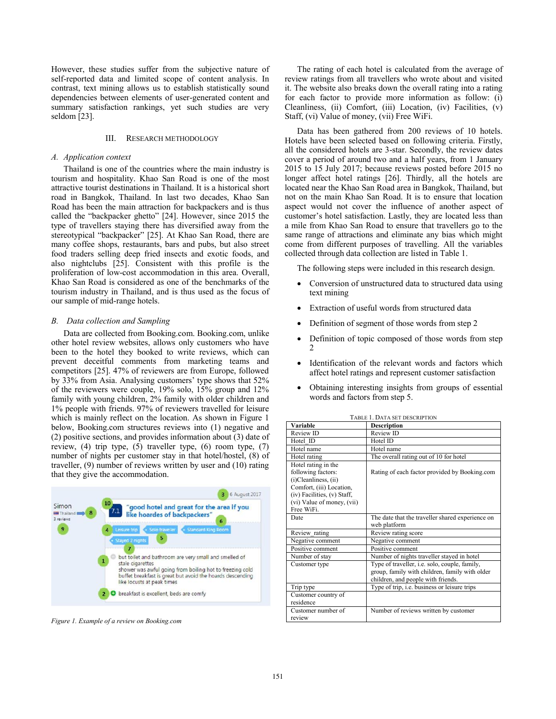However, these studies suffer from the subjective nature of self-reported data and limited scope of content analysis. In contrast, text mining allows us to establish statistically sound dependencies between elements of user-generated content and summary satisfaction rankings, yet such studies are very seldom [23].

#### III. RESEARCH METHODOLOGY

#### *A. Application context*

Thailand is one of the countries where the main industry is tourism and hospitality. Khao San Road is one of the most attractive tourist destinations in Thailand. It is a historical short road in Bangkok, Thailand. In last two decades, Khao San Road has been the main attraction for backpackers and is thus called the "backpacker ghetto" [24]. However, since 2015 the type of travellers staying there has diversified away from the stereotypical "backpacker" [25]. At Khao San Road, there are many coffee shops, restaurants, bars and pubs, but also street food traders selling deep fried insects and exotic foods, and also nightclubs [25]. Consistent with this profile is the proliferation of low-cost accommodation in this area. Overall, Khao San Road is considered as one of the benchmarks of the tourism industry in Thailand, and is thus used as the focus of our sample of mid-range hotels.

## *B. Data collection and Sampling*

Data are collected from Booking.com. Booking.com, unlike other hotel review websites, allows only customers who have been to the hotel they booked to write reviews, which can prevent deceitful comments from marketing teams and competitors [25]. 47% of reviewers are from Europe, followed by 33% from Asia. Analysing customers' type shows that 52% of the reviewers were couple, 19% solo, 15% group and 12% family with young children, 2% family with older children and 1% people with friends. 97% of reviewers travelled for leisure which is mainly reflect on the location. As shown in Figure 1 below, Booking.com structures reviews into (1) negative and (2) positive sections, and provides information about (3) date of review, (4) trip type, (5) traveller type, (6) room type, (7) number of nights per customer stay in that hotel/hostel, (8) of traveller, (9) number of reviews written by user and (10) rating that they give the accommodation.



*Figure 1. Example of a review on Booking.com* 

The rating of each hotel is calculated from the average of review ratings from all travellers who wrote about and visited it. The website also breaks down the overall rating into a rating for each factor to provide more information as follow: (i) Cleanliness, (ii) Comfort, (iii) Location, (iv) Facilities, (v) Staff, (vi) Value of money, (vii) Free WiFi.

Data has been gathered from 200 reviews of 10 hotels. Hotels have been selected based on following criteria. Firstly, all the considered hotels are 3-star. Secondly, the review dates cover a period of around two and a half years, from 1 January 2015 to 15 July 2017; because reviews posted before 2015 no longer affect hotel ratings [26]. Thirdly, all the hotels are located near the Khao San Road area in Bangkok, Thailand, but not on the main Khao San Road. It is to ensure that location aspect would not cover the influence of another aspect of customer's hotel satisfaction. Lastly, they are located less than a mile from Khao San Road to ensure that travellers go to the same range of attractions and eliminate any bias which might come from different purposes of travelling. All the variables collected through data collection are listed in Table 1.

The following steps were included in this research design.

- Conversion of unstructured data to structured data using text mining
- Extraction of useful words from structured data
- Definition of segment of those words from step 2
- Definition of topic composed of those words from step 2
- Identification of the relevant words and factors which affect hotel ratings and represent customer satisfaction
- Obtaining interesting insights from groups of essential words and factors from step 5.

| <b>TABLE 1. DATA SET DESCRIPTION</b> |                                                  |  |  |  |  |
|--------------------------------------|--------------------------------------------------|--|--|--|--|
| Variable                             | <b>Description</b>                               |  |  |  |  |
| Review ID                            | Review ID                                        |  |  |  |  |
| Hotel ID                             | Hotel ID                                         |  |  |  |  |
| Hotel name                           | Hotel name                                       |  |  |  |  |
| Hotel rating                         | The overall rating out of 10 for hotel           |  |  |  |  |
| Hotel rating in the                  |                                                  |  |  |  |  |
| following factors:                   | Rating of each factor provided by Booking.com    |  |  |  |  |
| (i)Cleanliness, (ii)                 |                                                  |  |  |  |  |
| Comfort, (iii) Location,             |                                                  |  |  |  |  |
| (iv) Facilities, (v) Staff,          |                                                  |  |  |  |  |
| (vi) Value of money, (vii)           |                                                  |  |  |  |  |
| Free WiFi.                           |                                                  |  |  |  |  |
| Date                                 | The date that the traveller shared experience on |  |  |  |  |
|                                      | web platform                                     |  |  |  |  |
| Review rating                        | Review rating score                              |  |  |  |  |
| Negative comment                     | Negative comment                                 |  |  |  |  |
| Positive comment                     | Positive comment                                 |  |  |  |  |
| Number of stay                       | Number of nights traveller stayed in hotel       |  |  |  |  |
| Customer type                        | Type of traveller, i.e. solo, couple, family,    |  |  |  |  |
|                                      | group, family with children, family with older   |  |  |  |  |
|                                      | children, and people with friends.               |  |  |  |  |
| Trip type                            | Type of trip, i.e. business or leisure trips     |  |  |  |  |
| Customer country of                  |                                                  |  |  |  |  |
| residence                            |                                                  |  |  |  |  |
| Customer number of                   | Number of reviews written by customer            |  |  |  |  |
| review                               |                                                  |  |  |  |  |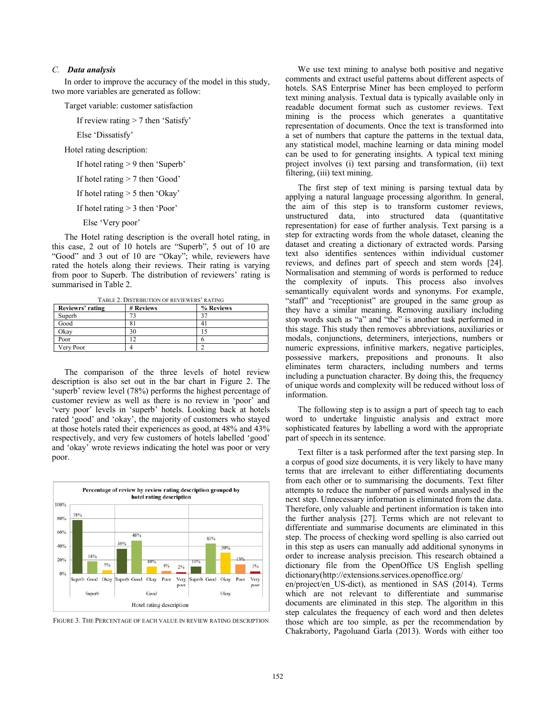# *C. Data analysis*

In order to improve the accuracy of the model in this study, two more variables are generated as follow:

Target variable: customer satisfaction

If review rating > 7 then 'Satisfy'

Else 'Dissatisfy'

Hotel rating description:

If hotel rating > 9 then 'Superb'

If hotel rating > 7 then 'Good'

If hotel rating > 5 then 'Okay'

If hotel rating > 3 then 'Poor'

Else 'Very poor'

The Hotel rating description is the overall hotel rating, in this case, 2 out of 10 hotels are "Superb", 5 out of 10 are "Good" and 3 out of 10 are "Okay"; while, reviewers have rated the hotels along their reviews. Their rating is varying from poor to Superb. The distribution of reviewers' rating is summarised in Table 2.

TABLE 2. DISTRIBUTION OF REVIEWERS' RATING

| Reviewrs' rating | # Reviews | % Reviews |
|------------------|-----------|-----------|
| Superb           |           |           |
| Good             |           | 4         |
| Okav             | 30        |           |
| Poor             |           |           |
| Very Poor        |           |           |

The comparison of the three levels of hotel review description is also set out in the bar chart in Figure 2. The 'superb' review level (78%) performs the highest percentage of customer review as well as there is no review in 'poor' and 'very poor' levels in 'superb' hotels. Looking back at hotels rated 'good' and 'okay', the majority of customers who stayed at those hotels rated their experiences as good, at 48% and 43% respectively, and very few customers of hotels labelled 'good' and 'okay' wrote reviews indicating the hotel was poor or very poor.



FIGURE 3. THE PERCENTAGE OF EACH VALUE IN REVIEW RATING DESCRIPTION

We use text mining to analyse both positive and negative comments and extract useful patterns about different aspects of hotels. SAS Enterprise Miner has been employed to perform text mining analysis. Textual data is typically available only in readable document format such as customer reviews. Text mining is the process which generates a quantitative representation of documents. Once the text is transformed into a set of numbers that capture the patterns in the textual data, any statistical model, machine learning or data mining model can be used to for generating insights. A typical text mining project involves (i) text parsing and transformation, (ii) text filtering, (iii) text mining.

The first step of text mining is parsing textual data by applying a natural language processing algorithm. In general, the aim of this step is to transform customer reviews, unstructured data, into structured data (quantitative representation) for ease of further analysis. Text parsing is a step for extracting words from the whole dataset, cleaning the dataset and creating a dictionary of extracted words. Parsing text also identifies sentences within individual customer reviews, and defines part of speech and stem words [24]. Normalisation and stemming of words is performed to reduce the complexity of inputs. This process also involves semantically equivalent words and synonyms. For example, "staff" and "receptionist" are grouped in the same group as they have a similar meaning. Removing auxiliary including stop words such as "a" and "the" is another task performed in this stage. This study then removes abbreviations, auxiliaries or modals, conjunctions, determiners, interjections, numbers or numeric expressions, infinitive markers, negative participles, possessive markers, prepositions and pronouns. It also eliminates term characters, including numbers and terms including a punctuation character. By doing this, the frequency of unique words and complexity will be reduced without loss of information.

The following step is to assign a part of speech tag to each word to undertake linguistic analysis and extract more sophisticated features by labelling a word with the appropriate part of speech in its sentence.

Text filter is a task performed after the text parsing step. In a corpus of good size documents, it is very likely to have many terms that are irrelevant to either differentiating documents from each other or to summarising the documents. Text filter attempts to reduce the number of parsed words analysed in the next step. Unnecessary information is eliminated from the data. Therefore, only valuable and pertinent information is taken into the further analysis [27]. Terms which are not relevant to differentiate and summarise documents are eliminated in this step. The process of checking word spelling is also carried out in this step as users can manually add additional synonyms in order to increase analysis precision. This research obtained a dictionary file from the OpenOffice US English spelling dictionary(http://extensions.services.openoffice.org/

en/project/en\_US-dict), as mentioned in SAS (2014). Terms which are not relevant to differentiate and summarise documents are eliminated in this step. The algorithm in this step calculates the frequency of each word and then deletes those which are too simple, as per the recommendation by Chakraborty, Pagoluand Garla (2013). Words with either too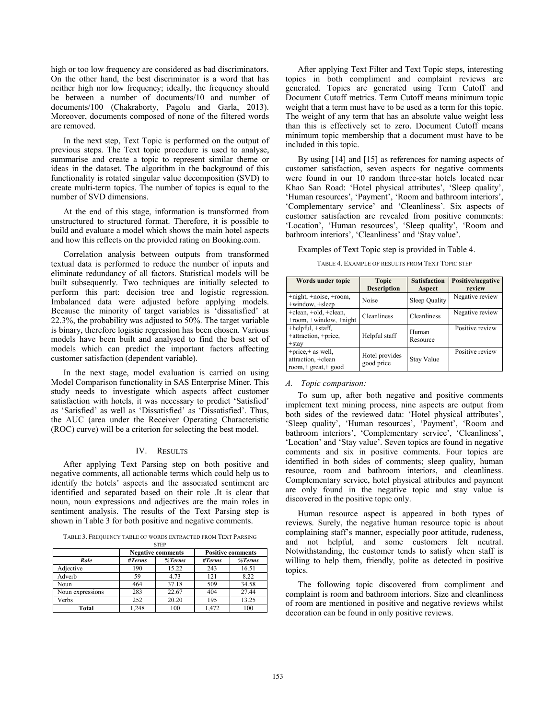high or too low frequency are considered as bad discriminators. On the other hand, the best discriminator is a word that has neither high nor low frequency; ideally, the frequency should be between a number of documents/10 and number of documents/100 (Chakraborty, Pagolu and Garla, 2013). Moreover, documents composed of none of the filtered words are removed.

In the next step, Text Topic is performed on the output of previous steps. The Text topic procedure is used to analyse, summarise and create a topic to represent similar theme or ideas in the dataset. The algorithm in the background of this functionality is rotated singular value decomposition (SVD) to create multi-term topics. The number of topics is equal to the number of SVD dimensions.

At the end of this stage, information is transformed from unstructured to structured format. Therefore, it is possible to build and evaluate a model which shows the main hotel aspects and how this reflects on the provided rating on Booking.com.

Correlation analysis between outputs from transformed textual data is performed to reduce the number of inputs and eliminate redundancy of all factors. Statistical models will be built subsequently. Two techniques are initially selected to perform this part: decision tree and logistic regression. Imbalanced data were adjusted before applying models. Because the minority of target variables is 'dissatisfied' at 22.3%, the probability was adjusted to 50%. The target variable is binary, therefore logistic regression has been chosen. Various models have been built and analysed to find the best set of models which can predict the important factors affecting customer satisfaction (dependent variable).

In the next stage, model evaluation is carried on using Model Comparison functionality in SAS Enterprise Miner. This study needs to investigate which aspects affect customer satisfaction with hotels, it was necessary to predict 'Satisfied' as 'Satisfied' as well as 'Dissatisfied' as 'Dissatisfied'. Thus, the AUC (area under the Receiver Operating Characteristic (ROC) curve) will be a criterion for selecting the best model.

#### IV. RESULTS

After applying Text Parsing step on both positive and negative comments, all actionable terms which could help us to identify the hotels' aspects and the associated sentiment are identified and separated based on their role .It is clear that noun, noun expressions and adjectives are the main roles in sentiment analysis. The results of the Text Parsing step is shown in Table 3 for both positive and negative comments.

TABLE 3. FREQUENCY TABLE OF WORDS EXTRACTED FROM TEXT PARSING

| <b>STEP</b>      |        |                          |                          |        |  |
|------------------|--------|--------------------------|--------------------------|--------|--|
|                  |        | <b>Negative comments</b> | <b>Positive comments</b> |        |  |
| Role             | #Terms | %Terms                   | #Terms                   | %Terms |  |
| Adjective        | 190    | 15.22                    | 243                      | 16.51  |  |
| Adverb           | 59     | 4.73                     | 121                      | 8.22   |  |
| Noun             | 464    | 37.18                    | 509                      | 34.58  |  |
| Noun expressions | 283    | 22.67                    | 404                      | 27.44  |  |
| Verbs            | 252    | 20.20                    | 195                      | 13.25  |  |
| Total            | 1.248  | 100                      | 1.472                    | 100    |  |

After applying Text Filter and Text Topic steps, interesting topics in both compliment and complaint reviews are generated. Topics are generated using Term Cutoff and Document Cutoff metrics. Term Cutoff means minimum topic weight that a term must have to be used as a term for this topic. The weight of any term that has an absolute value weight less than this is effectively set to zero. Document Cutoff means minimum topic membership that a document must have to be included in this topic.

By using [14] and [15] as references for naming aspects of customer satisfaction, seven aspects for negative comments were found in our 10 random three-star hotels located near Khao San Road: 'Hotel physical attributes', 'Sleep quality', 'Human resources', 'Payment', 'Room and bathroom interiors', 'Complementary service' and 'Cleanliness'. Six aspects of customer satisfaction are revealed from positive comments: 'Location', 'Human resources', 'Sleep quality', 'Room and bathroom interiors', 'Cleanliness' and 'Stay value'.

Examples of Text Topic step is provided in Table 4.

TABLE 4. EXAMPLE OF RESULTS FROM TEXT TOPIC STEP

| Words under topic                                                    | <b>Topic</b><br><b>Description</b> | <b>Satisfaction</b><br>Aspect | Positive/negative<br>review |
|----------------------------------------------------------------------|------------------------------------|-------------------------------|-----------------------------|
| $+$ night, $+$ noise, $+$ room,<br>+window, +sleep                   | Noise                              | Sleep Quality                 | Negative review             |
| +clean, +old, +clean,<br>$+$ room, $+$ window, $+$ night             | Cleanliness                        | Cleanliness                   | Negative review             |
| +helpful, +staff,<br>+attraction, +price,<br>$+$ stav                | Helpful staff                      | Human<br>Resource             | Positive review             |
| $+$ price, $+$ as well,<br>attraction, +clean<br>room,+ great,+ good | Hotel provides<br>good price       | Stay Value                    | Positive review             |

## *A. Topic comparison:*

To sum up, after both negative and positive comments implement text mining process, nine aspects are output from both sides of the reviewed data: 'Hotel physical attributes', 'Sleep quality', 'Human resources', 'Payment', 'Room and bathroom interiors', 'Complementary service', 'Cleanliness', 'Location' and 'Stay value'. Seven topics are found in negative comments and six in positive comments. Four topics are identified in both sides of comments; sleep quality, human resource, room and bathroom interiors, and cleanliness. Complementary service, hotel physical attributes and payment are only found in the negative topic and stay value is discovered in the positive topic only.

Human resource aspect is appeared in both types of reviews. Surely, the negative human resource topic is about complaining staff's manner, especially poor attitude, rudeness, and not helpful, and some customers felt neutral. Notwithstanding, the customer tends to satisfy when staff is willing to help them, friendly, polite as detected in positive topics.

The following topic discovered from compliment and complaint is room and bathroom interiors. Size and cleanliness of room are mentioned in positive and negative reviews whilst decoration can be found in only positive reviews.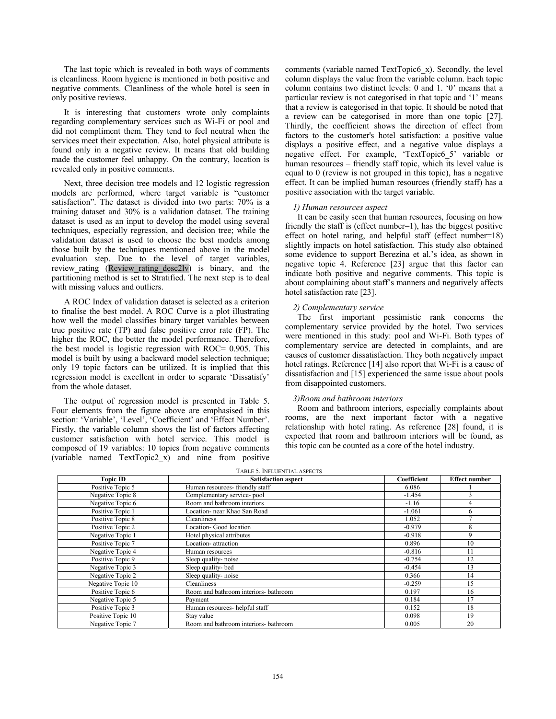The last topic which is revealed in both ways of comments is cleanliness. Room hygiene is mentioned in both positive and negative comments. Cleanliness of the whole hotel is seen in only positive reviews.

It is interesting that customers wrote only complaints regarding complementary services such as Wi-Fi or pool and did not compliment them. They tend to feel neutral when the services meet their expectation. Also, hotel physical attribute is found only in a negative review. It means that old building made the customer feel unhappy. On the contrary, location is revealed only in positive comments.

Next, three decision tree models and 12 logistic regression models are performed, where target variable is "customer satisfaction". The dataset is divided into two parts: 70% is a training dataset and 30% is a validation dataset. The training dataset is used as an input to develop the model using several techniques, especially regression, and decision tree; while the validation dataset is used to choose the best models among those built by the techniques mentioned above in the model evaluation step. Due to the level of target variables, review rating (Review rating desc2lv) is binary, and the partitioning method is set to Stratified. The next step is to deal with missing values and outliers.

A ROC Index of validation dataset is selected as a criterion to finalise the best model. A ROC Curve is a plot illustrating how well the model classifies binary target variables between true positive rate (TP) and false positive error rate (FP). The higher the ROC, the better the model performance. Therefore, the best model is logistic regression with ROC= 0.905. This model is built by using a backward model selection technique; only 19 topic factors can be utilized. It is implied that this regression model is excellent in order to separate 'Dissatisfy' from the whole dataset.

The output of regression model is presented in Table 5. Four elements from the figure above are emphasised in this section: 'Variable', 'Level', 'Coefficient' and 'Effect Number'. Firstly, the variable column shows the list of factors affecting customer satisfaction with hotel service. This model is composed of 19 variables: 10 topics from negative comments (variable named TextTopic2\_x) and nine from positive

comments (variable named TextTopic6\_x). Secondly, the level column displays the value from the variable column. Each topic column contains two distinct levels: 0 and 1. '0' means that a particular review is not categorised in that topic and '1' means that a review is categorised in that topic. It should be noted that a review can be categorised in more than one topic [27]. Thirdly, the coefficient shows the direction of effect from factors to the customer's hotel satisfaction: a positive value displays a positive effect, and a negative value displays a negative effect. For example, 'TextTopic6\_5' variable or human resources – friendly staff topic, which its level value is equal to 0 (review is not grouped in this topic), has a negative effect. It can be implied human resources (friendly staff) has a positive association with the target variable.

## *1) Human resources aspect*

It can be easily seen that human resources, focusing on how friendly the staff is (effect number=1), has the biggest positive effect on hotel rating, and helpful staff (effect number=18) slightly impacts on hotel satisfaction. This study also obtained some evidence to support Berezina et al.'s idea, as shown in negative topic 4. Reference [23] argue that this factor can indicate both positive and negative comments. This topic is about complaining about staff's manners and negatively affects hotel satisfaction rate [23].

## *2) Complementary service*

The first important pessimistic rank concerns the complementary service provided by the hotel. Two services were mentioned in this study: pool and Wi-Fi. Both types of complementary service are detected in complaints, and are causes of customer dissatisfaction. They both negatively impact hotel ratings. Reference [14] also report that Wi-Fi is a cause of dissatisfaction and [15] experienced the same issue about pools from disappointed customers.

#### *3)Room and bathroom interiors*

Room and bathroom interiors, especially complaints about rooms, are the next important factor with a negative relationship with hotel rating. As reference [28] found, it is expected that room and bathroom interiors will be found, as this topic can be counted as a core of the hotel industry.

| TABLE 5. INFLUENTIAL ASPECTS |                                       |                      |    |  |  |  |
|------------------------------|---------------------------------------|----------------------|----|--|--|--|
| <b>Topic ID</b>              | <b>Satisfaction aspect</b>            | <b>Effect number</b> |    |  |  |  |
| Positive Topic 5             | Human resources- friendly staff       | 6.086                |    |  |  |  |
| Negative Topic 8             | Complementary service-pool            | $-1.454$             |    |  |  |  |
| Negative Topic 6             | Room and bathroom interiors           | $-1.16$              |    |  |  |  |
| Positive Topic 1             | Location- near Khao San Road          | $-1.061$             | 6  |  |  |  |
| Positive Topic 8             | Cleanliness                           | 1.052                |    |  |  |  |
| Positive Topic 2             | Location- Good location               | $-0.979$             | 8  |  |  |  |
| Negative Topic 1             | Hotel physical attributes             | $-0.918$             | 9  |  |  |  |
| Positive Topic 7             | Location- attraction                  | 0.896                | 10 |  |  |  |
| Negative Topic 4             | Human resources                       | $-0.816$             |    |  |  |  |
| Positive Topic 9             | Sleep quality-noise                   | $-0.754$             | 12 |  |  |  |
| Negative Topic 3             | Sleep quality-bed                     | $-0.454$             | 13 |  |  |  |
| Negative Topic 2             | Sleep quality-noise                   | 0.366                | 14 |  |  |  |
| Negative Topic 10            | Cleanliness                           | $-0.259$             | 15 |  |  |  |
| Positive Topic 6             | Room and bathroom interiors- bathroom | 0.197                | 16 |  |  |  |
| Negative Topic 5             | Payment                               | 0.184                | 17 |  |  |  |
| Positive Topic 3             | Human resources- helpful staff        | 0.152                | 18 |  |  |  |
| Positive Topic 10            | Stay value                            | 0.098                | 19 |  |  |  |
| Negative Topic 7             | Room and bathroom interiors- bathroom | 0.005                | 20 |  |  |  |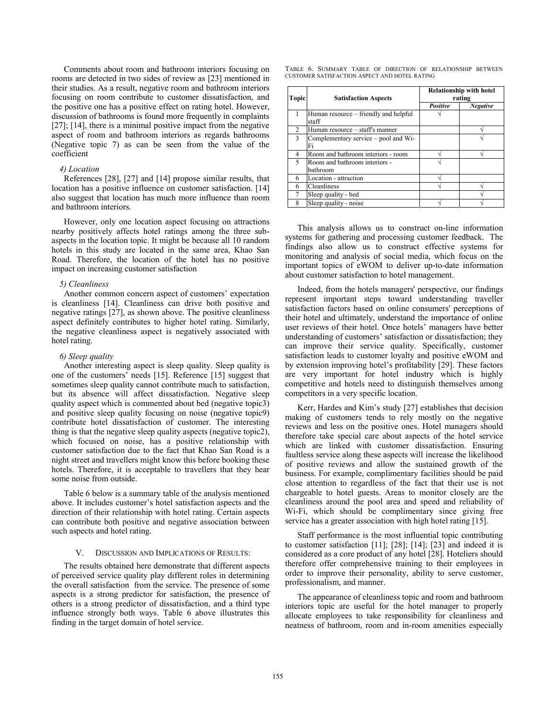Comments about room and bathroom interiors focusing on rooms are detected in two sides of review as [23] mentioned in their studies. As a result, negative room and bathroom interiors focusing on room contribute to customer dissatisfaction, and the positive one has a positive effect on rating hotel. However, discussion of bathrooms is found more frequently in complaints [27]; [14], there is a minimal positive impact from the negative aspect of room and bathroom interiors as regards bathrooms (Negative topic 7) as can be seen from the value of the coefficient

#### *4) Location*

References [28], [27] and [14] propose similar results, that location has a positive influence on customer satisfaction. [14] also suggest that location has much more influence than room and bathroom interiors.

However, only one location aspect focusing on attractions nearby positively affects hotel ratings among the three subaspects in the location topic. It might be because all 10 random hotels in this study are located in the same area, Khao San Road. Therefore, the location of the hotel has no positive impact on increasing customer satisfaction

#### *5) Cleanliness*

Another common concern aspect of customers' expectation is cleanliness [14]. Cleanliness can drive both positive and negative ratings [27], as shown above. The positive cleanliness aspect definitely contributes to higher hotel rating. Similarly, the negative cleanliness aspect is negatively associated with hotel rating.

#### *6) Sleep quality*

Another interesting aspect is sleep quality. Sleep quality is one of the customers' needs [15]. Reference [15] suggest that sometimes sleep quality cannot contribute much to satisfaction, but its absence will affect dissatisfaction. Negative sleep quality aspect which is commented about bed (negative topic3) and positive sleep quality focusing on noise (negative topic9) contribute hotel dissatisfaction of customer. The interesting thing is that the negative sleep quality aspects (negative topic2), which focused on noise, has a positive relationship with customer satisfaction due to the fact that Khao San Road is a night street and travellers might know this before booking these hotels. Therefore, it is acceptable to travellers that they hear some noise from outside.

Table 6 below is a summary table of the analysis mentioned above. It includes customer's hotel satisfaction aspects and the direction of their relationship with hotel rating. Certain aspects can contribute both positive and negative association between such aspects and hotel rating.

#### V. DISCUSSION AND IMPLICATIONS OF RESULTS:

The results obtained here demonstrate that different aspects of perceived service quality play different roles in determining the overall satisfaction from the service. The presence of some aspects is a strong predictor for satisfaction, the presence of others is a strong predictor of dissatisfaction, and a third type influence strongly both ways. Table 6 above illustrates this finding in the target domain of hotel service.

|  |  |                                               | TABLE 6. SUMMARY TABLE OF DIRECTION OF RELATIONSHIP BETWEEN |  |
|--|--|-----------------------------------------------|-------------------------------------------------------------|--|
|  |  | CUSTOMER SATISFACTION ASPECT AND HOTEL RATING |                                                             |  |

| <b>Topic</b>   | <b>Satisfaction Aspects</b>                    | <b>Relationship with hotel</b><br>rating |                 |  |
|----------------|------------------------------------------------|------------------------------------------|-----------------|--|
|                |                                                | Positive                                 | <b>Negative</b> |  |
|                | Human resource – friendly and helpful<br>staff |                                          |                 |  |
| $\mathfrak{D}$ | Human resource – staff's manner                |                                          |                 |  |
| $\mathbf{3}$   | Complementary service – pool and Wi-<br>Fi     |                                          |                 |  |
| 4              | Room and bathroom interiors - room             |                                          |                 |  |
| $\varsigma$    | Room and bathroom interiors -<br>bathroom      |                                          |                 |  |
| 6              | Location - attraction                          |                                          |                 |  |
| 6              | Cleanliness                                    |                                          |                 |  |
|                | Sleep quality - bed                            |                                          |                 |  |
| 8              | Sleep quality - noise                          |                                          |                 |  |

This analysis allows us to construct on-line information systems for gathering and processing customer feedback. The findings also allow us to construct effective systems for monitoring and analysis of social media, which focus on the important topics of eWOM to deliver up-to-date information about customer satisfaction to hotel management.

Indeed, from the hotels managers' perspective, our findings represent important steps toward understanding traveller satisfaction factors based on online consumers' perceptions of their hotel and ultimately, understand the importance of online user reviews of their hotel. Once hotels' managers have better understanding of customers' satisfaction or dissatisfaction; they can improve their service quality. Specifically, customer satisfaction leads to customer loyalty and positive eWOM and by extension improving hotel's profitability [29]. These factors are very important for hotel industry which is highly competitive and hotels need to distinguish themselves among competitors in a very specific location.

Kerr, Hardes and Kim's study [27] establishes that decision making of customers tends to rely mostly on the negative reviews and less on the positive ones. Hotel managers should therefore take special care about aspects of the hotel service which are linked with customer dissatisfaction. Ensuring faultless service along these aspects will increase the likelihood of positive reviews and allow the sustained growth of the business. For example, complimentary facilities should be paid close attention to regardless of the fact that their use is not chargeable to hotel guests. Areas to monitor closely are the cleanliness around the pool area and speed and reliability of Wi-Fi, which should be complimentary since giving free service has a greater association with high hotel rating [15].

Staff performance is the most influential topic contributing to customer satisfaction [11]; [28]; [14]; [23] and indeed it is considered as a core product of any hotel [28]. Hoteliers should therefore offer comprehensive training to their employees in order to improve their personality, ability to serve customer, professionalism, and manner.

The appearance of cleanliness topic and room and bathroom interiors topic are useful for the hotel manager to properly allocate employees to take responsibility for cleanliness and neatness of bathroom, room and in-room amenities especially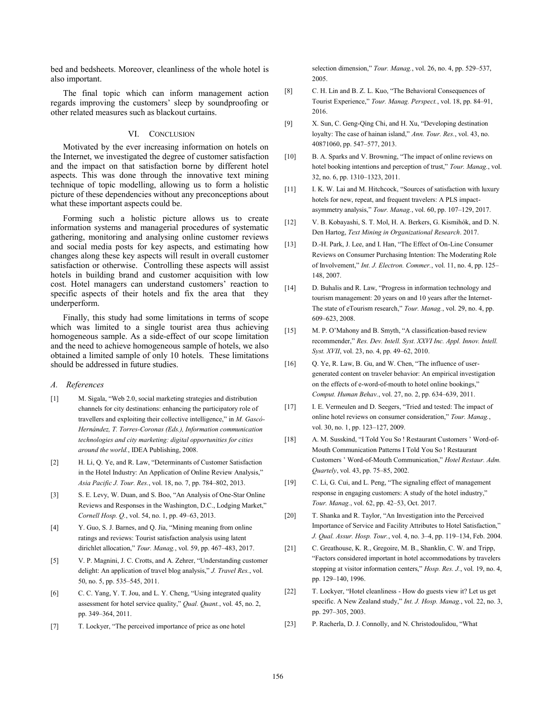bed and bedsheets. Moreover, cleanliness of the whole hotel is also important.

The final topic which can inform management action regards improving the customers' sleep by soundproofing or other related measures such as blackout curtains.

# VI. CONCLUSION

Motivated by the ever increasing information on hotels on the Internet, we investigated the degree of customer satisfaction and the impact on that satisfaction borne by different hotel aspects. This was done through the innovative text mining technique of topic modelling, allowing us to form a holistic picture of these dependencies without any preconceptions about what these important aspects could be.

Forming such a holistic picture allows us to create information systems and managerial procedures of systematic gathering, monitoring and analysing online customer reviews and social media posts for key aspects, and estimating how changes along these key aspects will result in overall customer satisfaction or otherwise. Controlling these aspects will assist hotels in building brand and customer acquisition with low cost. Hotel managers can understand customers' reaction to specific aspects of their hotels and fix the area that they underperform.

Finally, this study had some limitations in terms of scope which was limited to a single tourist area thus achieving homogeneous sample. As a side-effect of our scope limitation and the need to achieve homogeneous sample of hotels, we also obtained a limited sample of only 10 hotels. These limitations should be addressed in future studies.

#### *A. References*

- [1] M. Sigala, "Web 2.0, social marketing strategies and distribution channels for city destinations: enhancing the participatory role of travellers and exploiting their collective intelligence," in *M. Gascó-Hernández, T. Torres-Coronas (Eds.), Information communication technologies and city marketing: digital opportunities for cities around the world.*, IDEA Publishing, 2008.
- [2] H. Li, Q. Ye, and R. Law, "Determinants of Customer Satisfaction in the Hotel Industry: An Application of Online Review Analysis," *Asia Pacific J. Tour. Res.*, vol. 18, no. 7, pp. 784–802, 2013.
- [3] S. E. Levy, W. Duan, and S. Boo, "An Analysis of One-Star Online Reviews and Responses in the Washington, D.C., Lodging Market," *Cornell Hosp. Q.*, vol. 54, no. 1, pp. 49–63, 2013.
- [4] Y. Guo, S. J. Barnes, and Q. Jia, "Mining meaning from online ratings and reviews: Tourist satisfaction analysis using latent dirichlet allocation," *Tour. Manag.*, vol. 59, pp. 467–483, 2017.
- [5] V. P. Magnini, J. C. Crotts, and A. Zehrer, "Understanding customer delight: An application of travel blog analysis," *J. Travel Res.*, vol. 50, no. 5, pp. 535–545, 2011.
- [6] C. C. Yang, Y. T. Jou, and L. Y. Cheng, "Using integrated quality assessment for hotel service quality," *Qual. Quant.*, vol. 45, no. 2, pp. 349–364, 2011.
- [7] T. Lockyer, "The perceived importance of price as one hotel

selection dimension," *Tour. Manag.*, vol. 26, no. 4, pp. 529–537, 2005.

- [8] C. H. Lin and B. Z. L. Kuo, "The Behavioral Consequences of Tourist Experience," *Tour. Manag. Perspect.*, vol. 18, pp. 84–91, 2016.
- [9] X. Sun, C. Geng-Qing Chi, and H. Xu, "Developing destination loyalty: The case of hainan island," *Ann. Tour. Res.*, vol. 43, no. 40871060, pp. 547–577, 2013.
- [10] B. A. Sparks and V. Browning, "The impact of online reviews on hotel booking intentions and perception of trust," *Tour. Manag.*, vol. 32, no. 6, pp. 1310–1323, 2011.
- [11] I. K. W. Lai and M. Hitchcock, "Sources of satisfaction with luxury hotels for new, repeat, and frequent travelers: A PLS impactasymmetry analysis," *Tour. Manag.*, vol. 60, pp. 107–129, 2017.
- [12] V. B. Kobayashi, S. T. Mol, H. A. Berkers, G. Kismihók, and D. N. Den Hartog, *Text Mining in Organizational Research*. 2017.
- [13] D.-H. Park, J. Lee, and I. Han, "The Effect of On-Line Consumer Reviews on Consumer Purchasing Intention: The Moderating Role of Involvement," *Int. J. Electron. Commer.*, vol. 11, no. 4, pp. 125– 148, 2007.
- [14] D. Buhalis and R. Law, "Progress in information technology and tourism management: 20 years on and 10 years after the Internet-The state of eTourism research," *Tour. Manag.*, vol. 29, no. 4, pp. 609–623, 2008.
- [15] M. P. O'Mahony and B. Smyth, "A classification-based review recommender," *Res. Dev. Intell. Syst. XXVI Inc. Appl. Innov. Intell. Syst. XVII*, vol. 23, no. 4, pp. 49–62, 2010.
- [16] Q. Ye, R. Law, B. Gu, and W. Chen, "The influence of usergenerated content on traveler behavior: An empirical investigation on the effects of e-word-of-mouth to hotel online bookings," *Comput. Human Behav.*, vol. 27, no. 2, pp. 634–639, 2011.
- [17] I. E. Vermeulen and D. Seegers, "Tried and tested: The impact of online hotel reviews on consumer consideration," *Tour. Manag.*, vol. 30, no. 1, pp. 123–127, 2009.
- [18] A. M. Susskind, "I Told You So ! Restaurant Customers ' Word-of-Mouth Communication Patterns I Told You So ! Restaurant Customers ' Word-of-Mouth Communication," *Hotel Restaur. Adm. Quartely*, vol. 43, pp. 75–85, 2002.
- [19] C. Li, G. Cui, and L. Peng, "The signaling effect of management response in engaging customers: A study of the hotel industry," *Tour. Manag.*, vol. 62, pp. 42–53, Oct. 2017.
- [20] T. Shanka and R. Taylor, "An Investigation into the Perceived Importance of Service and Facility Attributes to Hotel Satisfaction," *J. Qual. Assur. Hosp. Tour.*, vol. 4, no. 3–4, pp. 119–134, Feb. 2004.
- [21] C. Greathouse, K. R., Gregoire, M. B., Shanklin, C. W. and Tripp, "Factors considered important in hotel accommodations by travelers stopping at visitor information centers," *Hosp. Res. J.*, vol. 19, no. 4, pp. 129–140, 1996.
- [22] T. Lockyer, "Hotel cleanliness How do guests view it? Let us get specific. A New Zealand study," *Int. J. Hosp. Manag.*, vol. 22, no. 3, pp. 297–305, 2003.
- [23] P. Racherla, D. J. Connolly, and N. Christodoulidou, "What